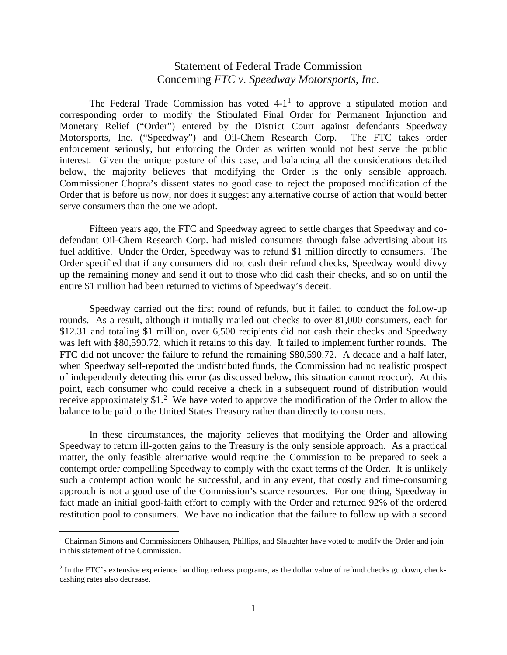## Statement of Federal Trade Commission Concerning *FTC v. Speedway Motorsports, Inc.*

The Federal Trade Commission has voted  $4-1<sup>1</sup>$  $4-1<sup>1</sup>$  $4-1<sup>1</sup>$  to approve a stipulated motion and corresponding order to modify the Stipulated Final Order for Permanent Injunction and Monetary Relief ("Order") entered by the District Court against defendants Speedway Motorsports, Inc. ("Speedway") and Oil-Chem Research Corp. The FTC takes order enforcement seriously, but enforcing the Order as written would not best serve the public interest. Given the unique posture of this case, and balancing all the considerations detailed below, the majority believes that modifying the Order is the only sensible approach. Commissioner Chopra's dissent states no good case to reject the proposed modification of the Order that is before us now, nor does it suggest any alternative course of action that would better serve consumers than the one we adopt.

Fifteen years ago, the FTC and Speedway agreed to settle charges that Speedway and codefendant Oil-Chem Research Corp. had misled consumers through false advertising about its fuel additive. Under the Order, Speedway was to refund \$1 million directly to consumers. The Order specified that if any consumers did not cash their refund checks, Speedway would divvy up the remaining money and send it out to those who did cash their checks, and so on until the entire \$1 million had been returned to victims of Speedway's deceit.

Speedway carried out the first round of refunds, but it failed to conduct the follow-up rounds. As a result, although it initially mailed out checks to over 81,000 consumers, each for \$12.31 and totaling \$1 million, over 6,500 recipients did not cash their checks and Speedway was left with \$80,590.72, which it retains to this day. It failed to implement further rounds. The FTC did not uncover the failure to refund the remaining \$80,590.72. A decade and a half later, when Speedway self-reported the undistributed funds, the Commission had no realistic prospect of independently detecting this error (as discussed below, this situation cannot reoccur). At this point, each consumer who could receive a check in a subsequent round of distribution would receive approximately  $$1<sup>2</sup>$  $$1<sup>2</sup>$  $$1<sup>2</sup>$  We have voted to approve the modification of the Order to allow the balance to be paid to the United States Treasury rather than directly to consumers.

In these circumstances, the majority believes that modifying the Order and allowing Speedway to return ill-gotten gains to the Treasury is the only sensible approach. As a practical matter, the only feasible alternative would require the Commission to be prepared to seek a contempt order compelling Speedway to comply with the exact terms of the Order. It is unlikely such a contempt action would be successful, and in any event, that costly and time-consuming approach is not a good use of the Commission's scarce resources. For one thing, Speedway in fact made an initial good-faith effort to comply with the Order and returned 92% of the ordered restitution pool to consumers. We have no indication that the failure to follow up with a second

<span id="page-0-0"></span><sup>&</sup>lt;sup>1</sup> Chairman Simons and Commissioners Ohlhausen, Phillips, and Slaughter have voted to modify the Order and join in this statement of the Commission.

<span id="page-0-1"></span><sup>2</sup> In the FTC's extensive experience handling redress programs, as the dollar value of refund checks go down, checkcashing rates also decrease.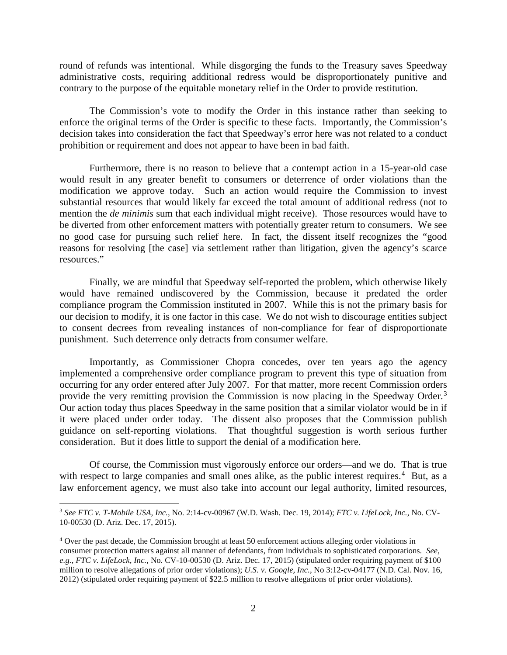round of refunds was intentional. While disgorging the funds to the Treasury saves Speedway administrative costs, requiring additional redress would be disproportionately punitive and contrary to the purpose of the equitable monetary relief in the Order to provide restitution.

The Commission's vote to modify the Order in this instance rather than seeking to enforce the original terms of the Order is specific to these facts. Importantly, the Commission's decision takes into consideration the fact that Speedway's error here was not related to a conduct prohibition or requirement and does not appear to have been in bad faith.

Furthermore, there is no reason to believe that a contempt action in a 15-year-old case would result in any greater benefit to consumers or deterrence of order violations than the modification we approve today. Such an action would require the Commission to invest substantial resources that would likely far exceed the total amount of additional redress (not to mention the *de minimis* sum that each individual might receive). Those resources would have to be diverted from other enforcement matters with potentially greater return to consumers. We see no good case for pursuing such relief here. In fact, the dissent itself recognizes the "good reasons for resolving [the case] via settlement rather than litigation, given the agency's scarce resources."

Finally, we are mindful that Speedway self-reported the problem, which otherwise likely would have remained undiscovered by the Commission, because it predated the order compliance program the Commission instituted in 2007. While this is not the primary basis for our decision to modify, it is one factor in this case. We do not wish to discourage entities subject to consent decrees from revealing instances of non-compliance for fear of disproportionate punishment. Such deterrence only detracts from consumer welfare.

Importantly, as Commissioner Chopra concedes, over ten years ago the agency implemented a comprehensive order compliance program to prevent this type of situation from occurring for any order entered after July 2007. For that matter, more recent Commission orders provide the very remitting provision the Commission is now placing in the Speedway Order.<sup>[3](#page-1-0)</sup> Our action today thus places Speedway in the same position that a similar violator would be in if it were placed under order today. The dissent also proposes that the Commission publish guidance on self-reporting violations. That thoughtful suggestion is worth serious further consideration. But it does little to support the denial of a modification here.

Of course, the Commission must vigorously enforce our orders—and we do. That is true with respect to large companies and small ones alike, as the public interest requires.<sup>[4](#page-1-1)</sup> But, as a law enforcement agency, we must also take into account our legal authority, limited resources,

<span id="page-1-0"></span> <sup>3</sup> *See FTC v. T-Mobile USA, Inc.*, No. 2:14-cv-00967 (W.D. Wash. Dec. 19, 2014); *FTC v. LifeLock, Inc.*, No. CV-10-00530 (D. Ariz. Dec. 17, 2015).

<span id="page-1-1"></span><sup>4</sup> Over the past decade, the Commission brought at least 50 enforcement actions alleging order violations in consumer protection matters against all manner of defendants, from individuals to sophisticated corporations. *See, e.g.*, *FTC v. LifeLock, Inc.*, No. CV-10-00530 (D. Ariz. Dec. 17, 2015) (stipulated order requiring payment of \$100 million to resolve allegations of prior order violations); *U.S. v. Google, Inc.*, No 3:12-cv-04177 (N.D. Cal. Nov. 16, 2012) (stipulated order requiring payment of \$22.5 million to resolve allegations of prior order violations).